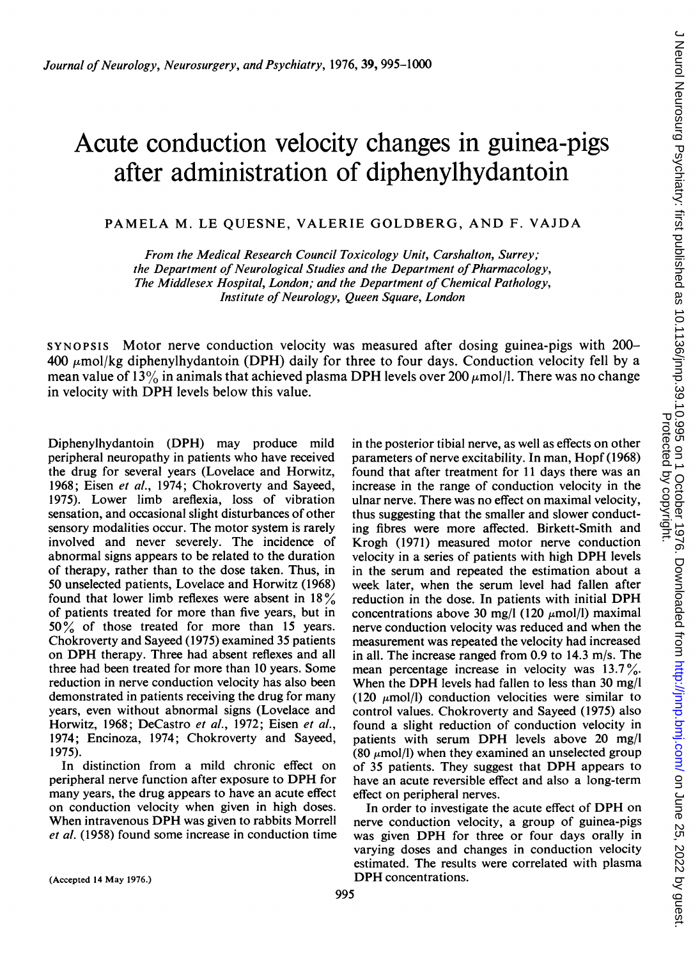# Acute conduction velocity changes in guinea-pigs after administration of diphenylhydantoin

PAMELA M. LE QUESNE, VALERIE GOLDBERG, AND F. VAJDA

From the Medical Research Council Toxicology Unit, Carshalton, Surrey; the Department of Neurological Studies and the Department of Pharmacology, The Middlesex Hospital, London; and the Department of Chemical Pathology, Institute of Neurology, Oueen Square, London

SYNOPSIS Motor nerve conduction velocity was measured after dosing guinea-pigs with 200-  $400 \mu$ mol/kg diphenylhydantoin (DPH) daily for three to four days. Conduction velocity fell by a mean value of 13% in animals that achieved plasma DPH levels over 200  $\mu$ mol/l. There was no change in velocity with DPH levels below this value.

Diphenyihydantoin (DPH) may produce mild peripheral neuropathy in patients who have received the drug for several years (Lovelace and Horwitz, 1968; Eisen et al., 1974; Chokroverty and Sayeed, 1975). Lower limb areflexia, loss of vibration sensation, and occasional slight disturbances of other sensory modalities occur. The motor system is rarely involved and never severely. The incidence of abnormal signs appears to be related to the duration of therapy, rather than to the dose taken. Thus, in 50 unselected patients, Lovelace and Horwitz (1968) found that lower limb reflexes were absent in  $18\%$ of patients treated for more than five years, but in <sup>50</sup> % of those treated for more than <sup>15</sup> years. Chokroverty and Sayeed (1975) examined 35 patients on DPH therapy. Three had absent reflexes and all three had been treated for more than 10 years. Some reduction in nerve conduction velocity has also been demonstrated in patients receiving the drug for many years, even without abnormal signs (Lovelace and Horwitz, 1968; DeCastro et al., 1972; Eisen et al., 1974; Encinoza, 1974; Chokroverty and Sayeed, 1975).

In distinction from a mild chronic effect on peripheral nerve function after exposure to DPH for many years, the drug appears to have an acute effect on conduction velocity when given in high doses. When intravenous DPH was given to rabbits Morrell et al. (1958) found some increase in conduction time in the posterior tibial nerve, as well as effects on other parameters of nerve excitability. In man, Hopf (1968) found that after treatment for 11 days there was an increase in the range of conduction velocity in the ulnar nerve. There was no effect on maximal velocity, thus suggesting that the smaller and slower conducting fibres were more affected. Birkett-Smith and Krogh (1971) measured motor nerve conduction velocity in <sup>a</sup> series of patients with high DPH levels in the serum and repeated the estimation about a week later, when the serum level had fallen after reduction in the dose. In patients with initial DPH concentrations above 30 mg/l (120  $\mu$ mol/l) maximal nerve conduction velocity was reduced and when the measurement was repeated the velocity had increased in all. The increase ranged from 0.9 to 14.3 m/s. The mean percentage increase in velocity was  $13.7\%$ . When the DPH levels had fallen to less than 30 mg/l  $(120 \mu \text{mol/l})$  conduction velocities were similar to control values. Chokroverty and Sayeed (1975) also found a slight reduction of conduction velocity in patients with serum DPH levels above <sup>20</sup> mg/l (80  $\mu$ mol/l) when they examined an unselected group of <sup>35</sup> patients. They suggest that DPH appears to have an acute reversible effect and also a long-term effect on peripheral nerves.

In order to investigate the acute effect of DPH on nerve conduction velocity, a group of guinea-pigs was given DPH for three or four days orally in varying doses and changes in conduction velocity estimated. The results were correlated with plasma DPH concentrations.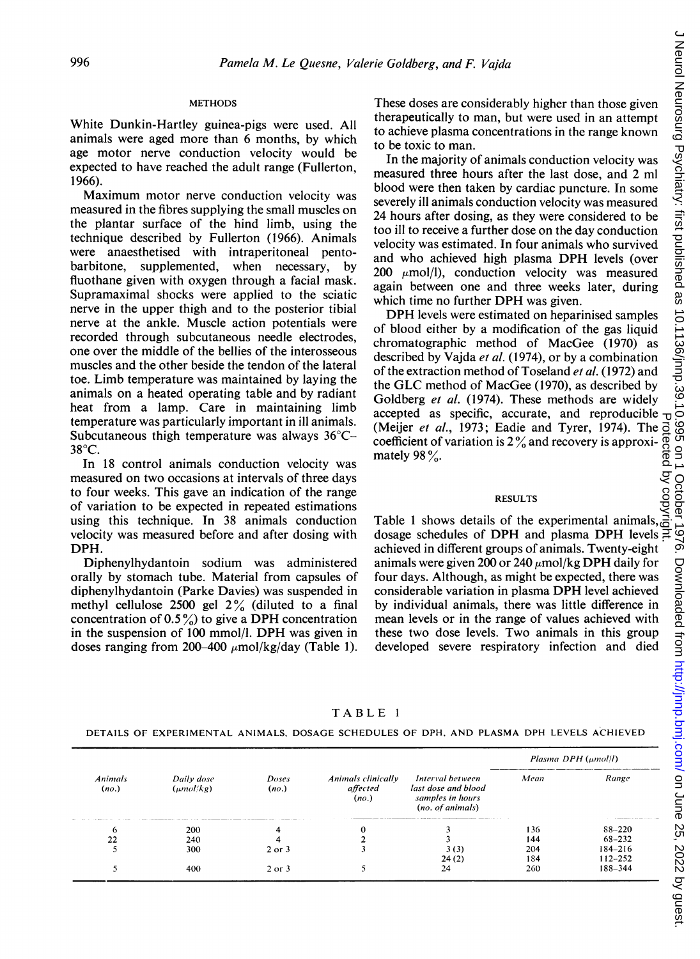## METHODS

White Dunkin-Hartley guinea-pigs were used. All animals were aged more than 6 months, by which age motor nerve conduction velocity would be expected to have reached the adult range (Fullerton, 1966).

Maximum motor nerve conduction velocity was measured in the fibres supplying the small muscles on the plantar surface of the hind limb, using the technique described by Fullerton (1966). Animals were anaesthetised with intraperitoneal pentobarbitone, supplemented, when necessary, by fluothane given with oxygen through a facial mask. Supramaximal shocks were applied to the sciatic nerve in the upper thigh and to the posterior tibial nerve at the ankle. Muscle action potentials were recorded through subcutaneous needle electrodes, one over the middle of the bellies of the interosseous muscles and the other beside the tendon of the lateral toe. Limb temperature was maintained by laying the animals on a heated operating table and by radiant heat from a lamp. Care in maintaining limb temperature was particularly important in ill animals. Subcutaneous thigh temperature was always 36°C- $38^{\circ}$ C.

In 18 control animals conduction velocity was measured on two occasions at intervals of three days to four weeks. This gave an indication of the range of variation to be expected in repeated estimations using this technique. In 38 animals conduction velocity was measured before and after dosing with DPH.

Diphenylhydantoin sodium was administered orally by stomach tube. Material from capsules of diphenylhydantoin (Parke Davies) was suspended in methyl cellulose 2500 gel  $2\%$  (diluted to a final concentration of  $0.5\%$ ) to give a DPH concentration in the suspension of <sup>100</sup> mmol/l. DPH was given in doses ranging from 200-400  $\mu$ mol/kg/day (Table 1). These doses are considerably higher than those given therapeutically to man, but were used in an attempt to achieve plasma concentrations in the range known to be toxic to man.

In the majority of animals conduction velocity was measured three hours after the last dose, and 2 ml blood were then taken by cardiac puncture. In some severely ill animals conduction velocity was measured 24 hours after dosing, as they were considered to be too ill to receive a further dose on the day conduction velocity was estimated. In four animals who survived and who achieved high plasma DPH levels (over 200  $\mu$ mol/l), conduction velocity was measured again between one and three weeks later, during which time no further DPH was given.

DPH levels were estimated on heparinised samples of blood either by a modification of the gas liquid chromatographic method of MacGee (1970) as described by Vajda et al. (1974), or by a combination of the extraction method of Toseland *et al.* (1972) and the GLC method of MacGee (1970), as described by Goldberg et al. (1974). These methods are widely accepted as specific, accurate, and reproducible  $<sub>o</sub>$ </sub> (Meijer *et al.*, 1973; Eadie and Tyrer, 1974). The coefficient of variation is  $2\%$  and recovery is approximately 98 $\%$ . Protected by copyright.

#### RESULTS

Table <sup>1</sup> shows details of the experimental animals, dosage schedules of DPH and plasma DPH levels  $\overline{a}$ achieved in different groups of animals. Twenty-eight animals were given 200 or 240  $\mu$ mol/kg DPH daily for four days. Although, as might be expected, there was considerable variation in plasma DPH level achieved by individual animals, there was little difference in mean levels or in the range of values achieved with these two dose levels. Two animals in this group developed severe respiratory infection and died

## TABLE <sup>1</sup>

DETAILS OF EXPERIMENTAL ANIMALS, DOSAGE SCHEDULES OF DPH, AND PLASMA DPH LEVELS ACHIEVED

|                         |                              |                |                                         |                                                                                 | Plasma DPH (umol/l) |             |
|-------------------------|------------------------------|----------------|-----------------------------------------|---------------------------------------------------------------------------------|---------------------|-------------|
| <b>Animals</b><br>(no.) | Daily dose<br>$(\mu mol/kg)$ | Doses<br>(no.) | Animals clinically<br>affected<br>(no.) | Interval between<br>last dose and blood<br>samples in hours<br>(no. of animals) | Mean                | Range       |
| $\mathbf{\Omega}$       | 200                          |                |                                         |                                                                                 | 136                 | $88 - 220$  |
| 22                      | 240                          |                |                                         |                                                                                 | 144                 | $68 - 232$  |
|                         | 300                          | $2$ or $3$     |                                         | 3(3)                                                                            | 204                 | $184 - 216$ |
|                         |                              |                |                                         | 24(2)                                                                           | 184                 | $112 - 252$ |
|                         | 400                          | $2$ or $3$     |                                         | 24                                                                              | 260                 | 188-344     |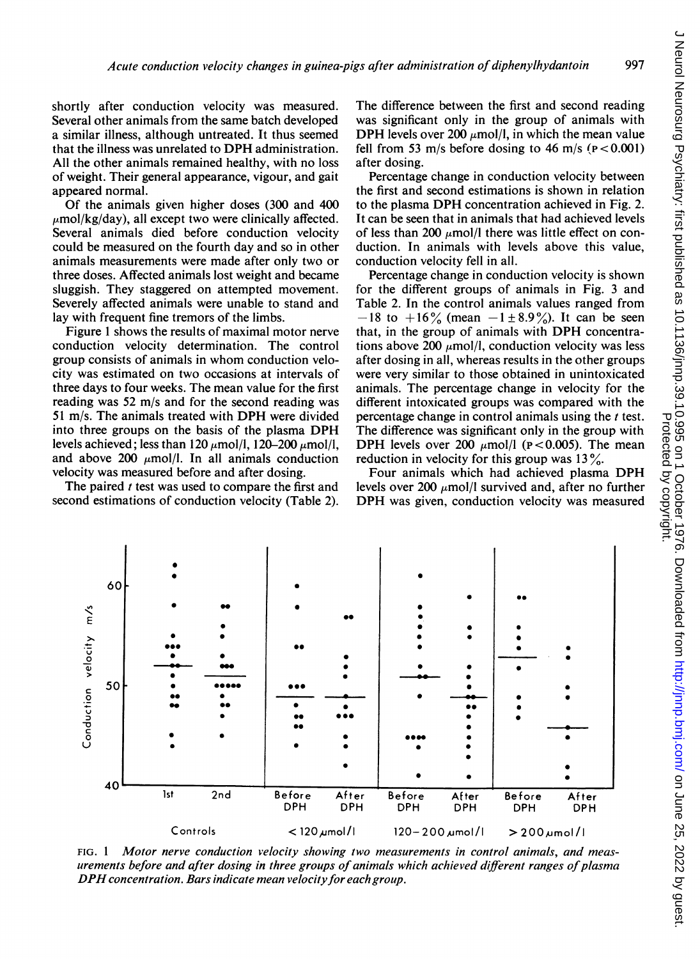shortly after conduction velocity was measured. Several other animals from the same batch developed a similar illness, although untreated. It thus seemed that the illness was unrelated to DPH administration. All the other animals remained healthy, with no loss of weight. Their general appearance, vigour, and gait appeared normal.

Of the animals given higher doses (300 and 400  $\mu$ mol/kg/day), all except two were clinically affected. Several animals died before conduction velocity could be measured on the fourth day and so in other animals measurements were made after only two or three doses. Affected animals lost weight and became sluggish. They staggered on attempted movement. Severely affected animals were unable to stand and lay with frequent fine tremors of the limbs.

Figure <sup>1</sup> shows the results of maximal motor nerve conduction velocity determination. The control group consists of animals in whom conduction velocity was estimated on two occasions at intervals of three days to four weeks. The mean value for the first reading was 52 m/s and for the second reading was <sup>51</sup> m/s. The animals treated with DPH were divided into three groups on the basis of the plasma DPH levels achieved; less than 120  $\mu$ mol/l, 120-200  $\mu$ mol/l, and above 200  $\mu$ mol/l. In all animals conduction velocity was measured before and after dosing.

The paired t test was used to compare the first and second estimations of conduction velocity (Table 2).

The difference between the first and second reading was significant only in the group of animals with DPH levels over 200  $\mu$ mol/l, in which the mean value fell from 53 m/s before dosing to 46 m/s ( $p < 0.001$ ) after dosing.

Percentage change in conduction velocity between the first and second estimations is shown in relation to the plasma DPH concentration achieved in Fig. 2. It can be seen that in animals that had achieved levels of less than 200  $\mu$ mol/l there was little effect on conduction. In animals with levels above this value, conduction velocity fell in all.

Percentage change in conduction velocity is shown for the different groups of animals in Fig. 3 and Table 2. In the control animals values ranged from  $-18$  to  $+16\%$  (mean  $-1\pm8.9\%$ ). It can be seen that, in the group of animals with DPH concentrations above 200  $\mu$ mol/l, conduction velocity was less after dosing in all, whereas results in the other groups were very similar to those obtained in unintoxicated animals. The percentage change in velocity for the different intoxicated groups was compared with the percentage change in control animals using the  $t$  test. The difference was significant only in the group with DPH levels over 200  $\mu$ mol/l (p < 0.005). The mean reduction in velocity for this group was  $13\%$ .

Four animals which had achieved plasma DPH levels over 200  $\mu$ mol/l survived and, after no further DPH was given, conduction velocity was measured



FIG. <sup>1</sup> Motor nerve conduction velocity showing two measurements in control animals, and measurements before and after dosing in three groups of animals which achieved different ranges of plasma DPH concentration. Bars indicate mean velocity for each group.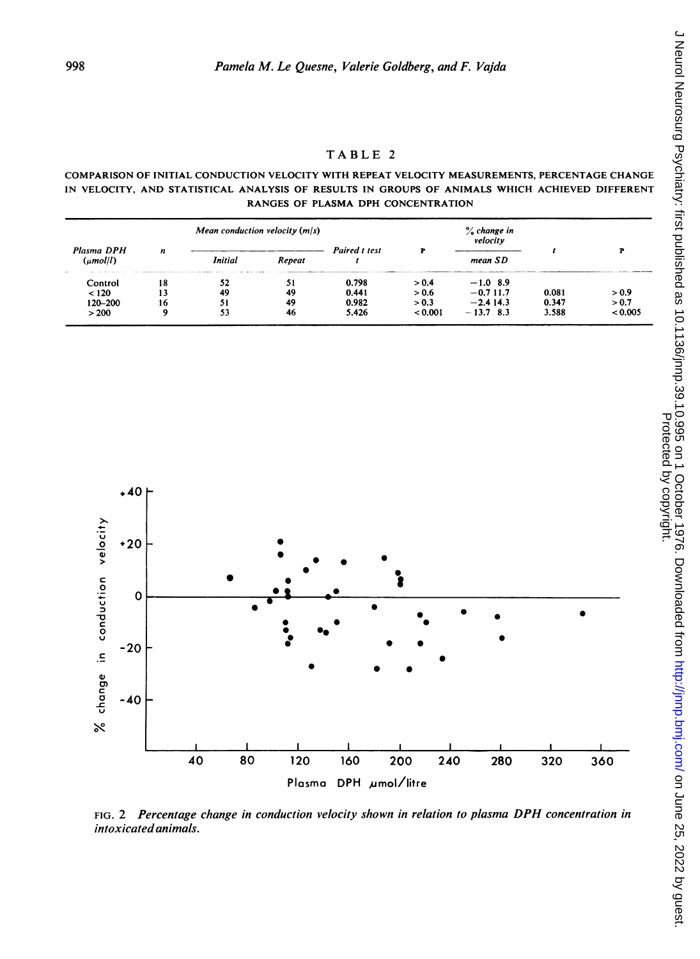## COMPARISON OF INITIAL CONDUCTION VELOCITY WITH REPEAT VELOCITY MEASUREMENTS, PERCENTAGE CHANGE IN VELOCITY, AND STATISTICAL ANALYSIS OF RESULTS IN GROUPS OF ANIMALS WHICH ACHIEVED DIFFERENT RANGES OF PLASMA DPH CONCENTRATION

| Plasma DPH<br>(umol/l) | Mean conduction velocity $(m/s)$ |         |        |               |       | $\%$ change in<br>velocity |       |         |
|------------------------|----------------------------------|---------|--------|---------------|-------|----------------------------|-------|---------|
|                        | n                                | Initial | Repeat | Paired t test |       | mean SD                    |       |         |
| Control                | 18                               | 52      | 51     | 0.798         | > 0.4 | $-1.0$ 8.9                 |       |         |
| < 120                  |                                  | 49      | 49     | 0.441         | > 0.6 | $-0.711.7$                 | 0.081 | > 0.9   |
| 120-200                | 16                               | 51      | -49    | 0.982         | > 0.3 | $-2.414.3$                 | 0.347 | > 0.7   |
| > 200                  | ۰                                | 53      | 46     | 5.426         | 0.001 | $-13.7$ 8.3                | 3.588 | < 0.005 |



FIG. 2 Percentage change in conduction velocity shown in relation to plasma DPH concentration in intoxicated animals.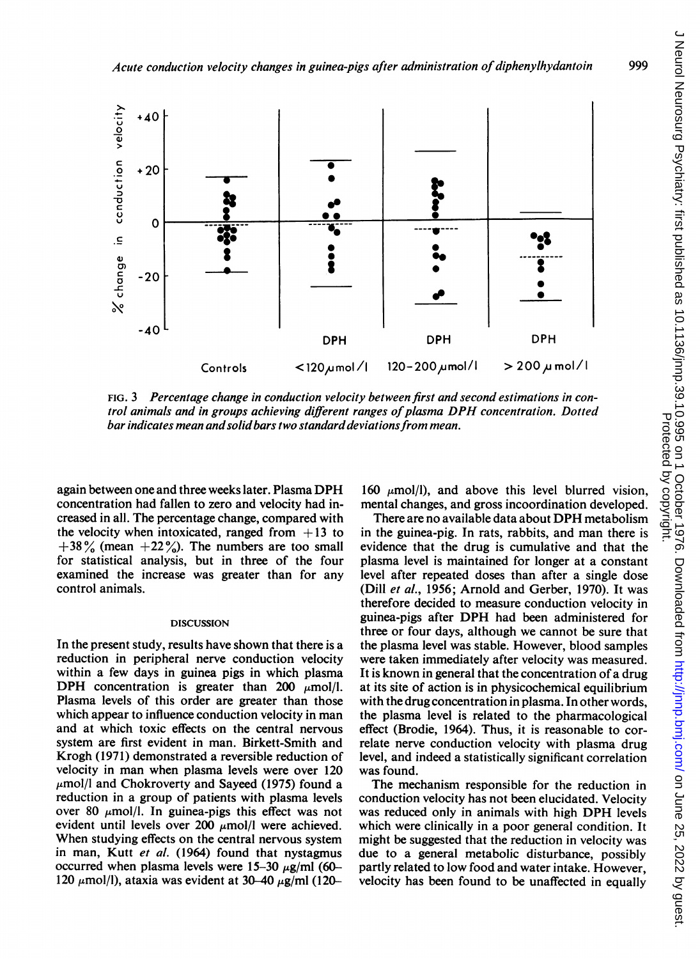

FIG. 3 Percentage change in conduction velocity between first and second estimations in control animals and in groups achieving different ranges of plasma DPH concentration. Dotted bar indicates mean and solid bars two standard deviations from mean.

again between one and three weeks later. Plasma DPH concentration had fallen to zero and velocity had increased in all. The percentage change, compared with the velocity when intoxicated, ranged from  $+13$  to  $+38\%$  (mean  $+22\%$ ). The numbers are too small for statistical analysis, but in three of the four examined the increase was greater than for any control animals.

#### DISCUSSION

In the present study, results have shown that there is a reduction in peripheral nerve conduction velocity within a few days in guinea pigs in which plasma DPH concentration is greater than 200  $\mu$ mol/l. Plasma levels of this order are greater than those which appear to influence conduction velocity in man and at which toxic effects on the central nervous system are first evident in man. Birkett-Smith and Krogh (1971) demonstrated a reversible reduction of velocity in man when plasma levels were over 120  $\mu$ mol/l and Chokroverty and Sayeed (1975) found a reduction in a group of patients with plasma levels over 80  $\mu$ mol/l. In guinea-pigs this effect was not evident until levels over 200  $\mu$ mol/l were achieved. When studying effects on the central nervous system in man, Kutt et al. (1964) found that nystagmus occurred when plasma levels were  $15-30 \mu$ g/ml (60-120  $\mu$ mol/l), ataxia was evident at 30-40  $\mu$ g/ml (120-

160  $\mu$ mol/l), and above this level blurred vision, mental changes, and gross incoordination developed.

There are no available data about DPH metabolism in the guinea-pig. In rats, rabbits, and man there is evidence that the drug is cumulative and that the plasma level is maintained for longer at a constant level after repeated doses than after a single dose (Dill et al., 1956; Arnold and Gerber, 1970). It was therefore decided to measure conduction velocity in guinea-pigs after DPH had been administered for three or four days, although we cannot be sure that the plasma level was stable. However, blood samples were taken immediately after velocity was measured. It is known in general that the concentration of a drug at its site of action is in physicochemical equilibrium with the drug concentration in plasma. In other words, the plasma level is related to the pharmacological effect (Brodie, 1964). Thus, it is reasonable to correlate nerve conduction velocity with plasma drug level, and indeed a statistically significant correlation was found.

The mechanism responsible for the reduction in conduction velocity has not been elucidated. Velocity was reduced only in animals with high DPH levels which were clinically in a poor general condition. It might be suggested that the reduction in velocity was due to a general metabolic disturbance, possibly partly related to low food and water intake. However, velocity has been found to be unaffected in equally

999